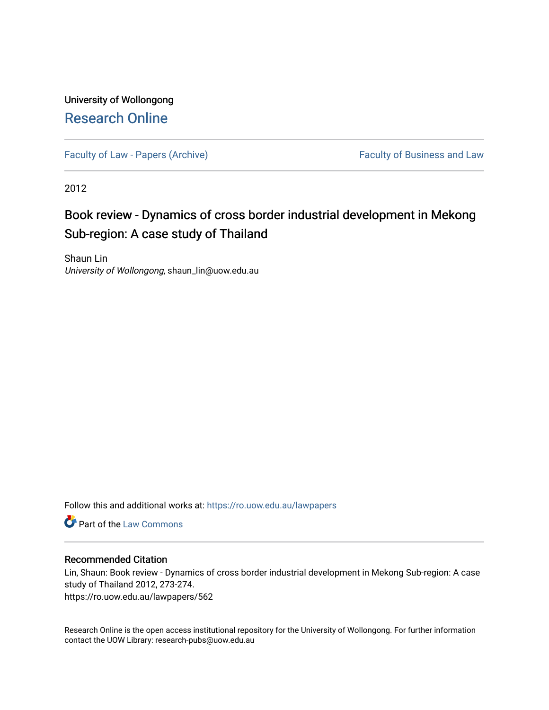## University of Wollongong [Research Online](https://ro.uow.edu.au/)

[Faculty of Law - Papers \(Archive\)](https://ro.uow.edu.au/lawpapers) Faculty of Business and Law

2012

# Book review - Dynamics of cross border industrial development in Mekong Sub-region: A case study of Thailand

Shaun Lin University of Wollongong, shaun\_lin@uow.edu.au

Follow this and additional works at: [https://ro.uow.edu.au/lawpapers](https://ro.uow.edu.au/lawpapers?utm_source=ro.uow.edu.au%2Flawpapers%2F562&utm_medium=PDF&utm_campaign=PDFCoverPages) 

**C** Part of the [Law Commons](http://network.bepress.com/hgg/discipline/578?utm_source=ro.uow.edu.au%2Flawpapers%2F562&utm_medium=PDF&utm_campaign=PDFCoverPages)

#### Recommended Citation

Lin, Shaun: Book review - Dynamics of cross border industrial development in Mekong Sub-region: A case study of Thailand 2012, 273-274. https://ro.uow.edu.au/lawpapers/562

Research Online is the open access institutional repository for the University of Wollongong. For further information contact the UOW Library: research-pubs@uow.edu.au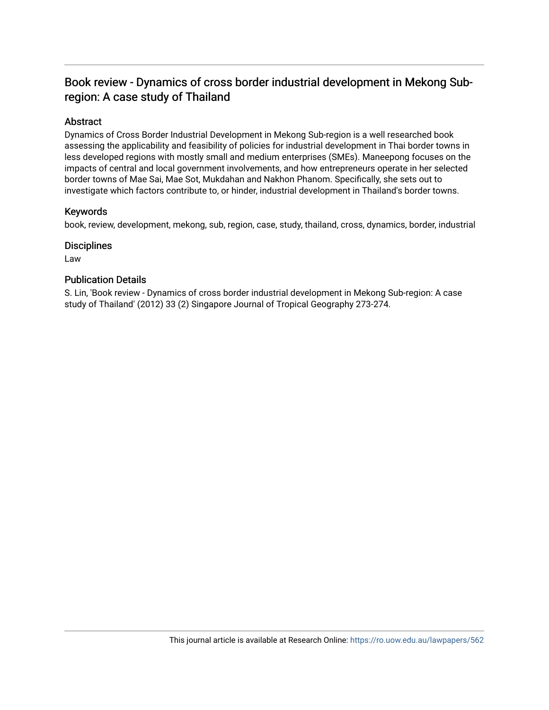### Book review - Dynamics of cross border industrial development in Mekong Subregion: A case study of Thailand

### Abstract

Dynamics of Cross Border Industrial Development in Mekong Sub-region is a well researched book assessing the applicability and feasibility of policies for industrial development in Thai border towns in less developed regions with mostly small and medium enterprises (SMEs). Maneepong focuses on the impacts of central and local government involvements, and how entrepreneurs operate in her selected border towns of Mae Sai, Mae Sot, Mukdahan and Nakhon Phanom. Specifically, she sets out to investigate which factors contribute to, or hinder, industrial development in Thailand's border towns.

#### Keywords

book, review, development, mekong, sub, region, case, study, thailand, cross, dynamics, border, industrial

#### **Disciplines**

Law

#### Publication Details

S. Lin, 'Book review - Dynamics of cross border industrial development in Mekong Sub-region: A case study of Thailand' (2012) 33 (2) Singapore Journal of Tropical Geography 273-274.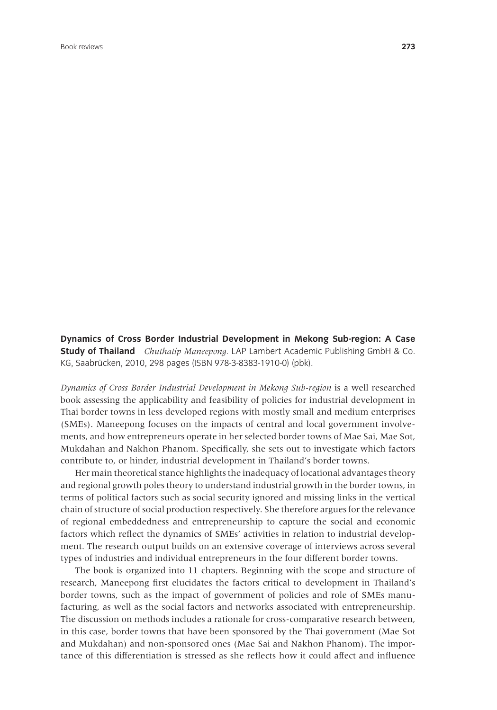**Dynamics of Cross Border Industrial Development in Mekong Sub-region: A Case Study of Thailand** *Chuthatip Maneepong*. LAP Lambert Academic Publishing GmbH & Co. KG, Saabrücken, 2010, 298 pages (ISBN 978-3-8383-1910-0) (pbk).

*Dynamics of Cross Border Industrial Development in Mekong Sub-region* is a well researched book assessing the applicability and feasibility of policies for industrial development in Thai border towns in less developed regions with mostly small and medium enterprises (SMEs). Maneepong focuses on the impacts of central and local government involvements, and how entrepreneurs operate in her selected border towns of Mae Sai, Mae Sot, Mukdahan and Nakhon Phanom. Specifically, she sets out to investigate which factors contribute to, or hinder, industrial development in Thailand's border towns.

Her main theoretical stance highlights the inadequacy of locational advantages theory and regional growth poles theory to understand industrial growth in the border towns, in terms of political factors such as social security ignored and missing links in the vertical chain of structure of social production respectively. She therefore argues for the relevance of regional embeddedness and entrepreneurship to capture the social and economic factors which reflect the dynamics of SMEs' activities in relation to industrial development. The research output builds on an extensive coverage of interviews across several types of industries and individual entrepreneurs in the four different border towns.

The book is organized into 11 chapters. Beginning with the scope and structure of research, Maneepong first elucidates the factors critical to development in Thailand's border towns, such as the impact of government of policies and role of SMEs manufacturing, as well as the social factors and networks associated with entrepreneurship. The discussion on methods includes a rationale for cross-comparative research between, in this case, border towns that have been sponsored by the Thai government (Mae Sot and Mukdahan) and non-sponsored ones (Mae Sai and Nakhon Phanom). The importance of this differentiation is stressed as she reflects how it could affect and influence